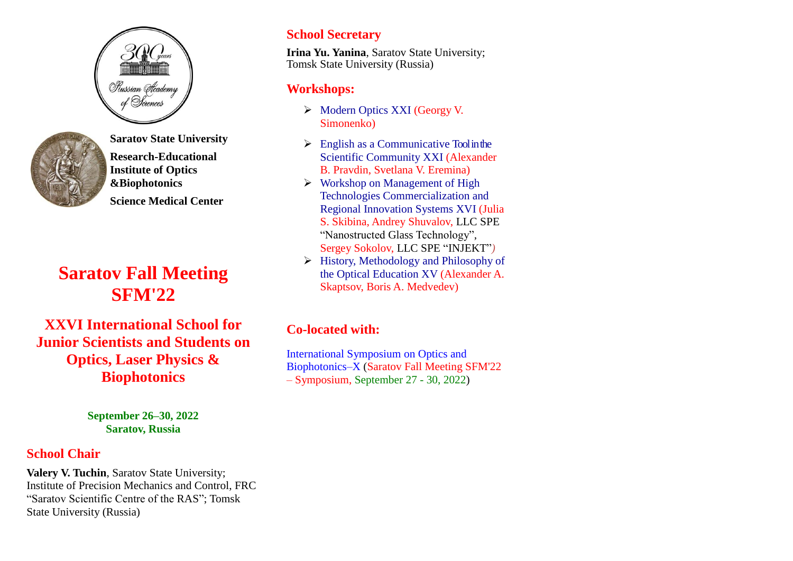



**Saratov State University Research-Educational Institute of Optics &Biophotonics Science Medical Center**

# **Saratov Fall Meeting SFM'22**

**XXVI International School for Junior Scientists and Students on Optics, Laser Physics & Biophotonics**

> **September 26–30, 2022 Saratov, Russia**

## **School Chair**

**Valery V. Tuchin**, Saratov State University; Institute of Precision Mechanics and Control, FRC "Saratov Scientific Centre of the RAS"; Tomsk State University (Russia)

## **School Secretary**

**Irina Yu. Yanina**, Saratov State University; Tomsk State University (Russia)

## **Workshops:**

- Modern Optics XXI (Georgy V. Simonenko)
- $\triangleright$  English as a Communicative Tool in the Scientific Community XXI (Alexander B. Pravdin, Svetlana V. Eremina)
- $\triangleright$  Workshop on Management of High Technologies Commercialization and Regional Innovation Systems XVI (Julia S. Skibina, Andrey Shuvalov, LLC SPE "Nanostructed Glass Technology", Sergey Sokolov, LLC SPE "INJEKT"*)*
- History, Methodology and Philosophy of the Optical Education XV (Alexander A. Skaptsov, Boris A. Medvedev)

## **Co-located with:**

International Symposium on Optics and Biophotonics–X (Saratov Fall Meeting SFM'22 – Symposium, September 27 - 30, 2022)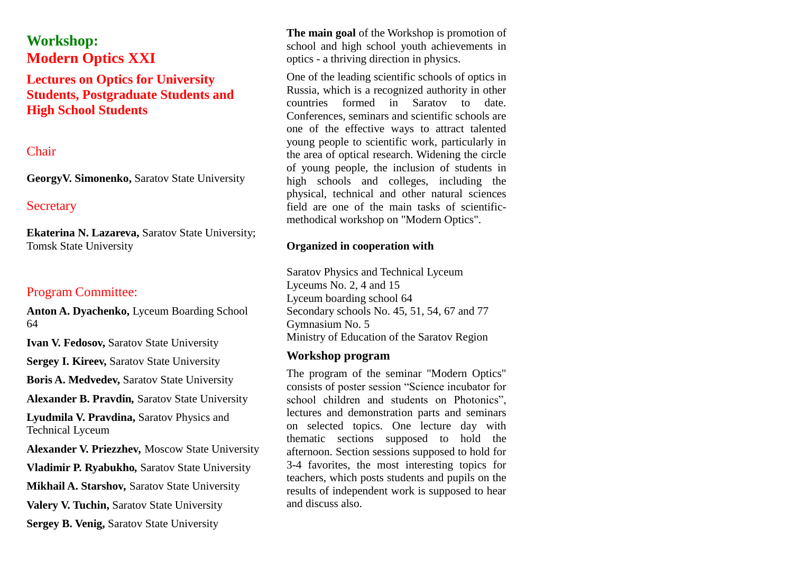## **Workshop: Modern Optics XXI**

## **Lectures on Optics for University Students, Postgraduate Students and High School Students**

### Chair

**GeorgyV. Simonenko,** Saratov State University

#### **Secretary**

**Ekaterina N. Lazareva,** Saratov State University; Tomsk State University

## Program Committee:

**Anton A. Dyachenko,** Lyceum Boarding School 64

**Ivan V. Fedosov,** Saratov State University

**Sergey I. Kireev,** Saratov State University

**Boris A. Medvedev,** Saratov State University

**Alexander B. Pravdin***,* Saratov State University

**Lyudmila V. Pravdina,** Saratov Physics and Technical Lyceum

**Alexander V. Priezzhev***,* Moscow State University **Vladimir P. Ryabukho***,* Saratov State University **Mikhail A. Starshov***,* Saratov State University **Valery V. Tuchin,** Saratov State University **Sergey B. Venig,** Saratov State University

**The main goal** of the Workshop is promotion of school and high school youth achievements in optics - a thriving direction in physics.

One of the leading scientific schools of optics in Russia, which is a recognized authority in other countries formed in Saratov to date. Conferences, seminars and scientific schools are one of the effective ways to attract talented young people to scientific work, particularly in the area of optical research. Widening the circle of young people, the inclusion of students in high schools and colleges, including the physical, technical and other natural sciences field are one of the main tasks of scientificmethodical workshop on "Modern Optics".

#### **Organized in cooperation with**

Saratov Physics and Technical Lyceum Lyceums No. 2, 4 and 15 Lyceum boarding school 64 Secondary schools No. 45, 51, 54, 67 and 77 Gymnasium No. 5 Ministry of Education of the Saratov Region

#### **Workshop program**

The program of the seminar "Modern Optics" consists of poster session "Science incubator for school children and students on Photonics", lectures and demonstration parts and seminars on selected topics. One lecture day with thematic sections supposed to hold the afternoon. Section sessions supposed to hold for 3-4 favorites, the most interesting topics for teachers, which posts students and pupils on the results of independent work is supposed to hear and discuss also.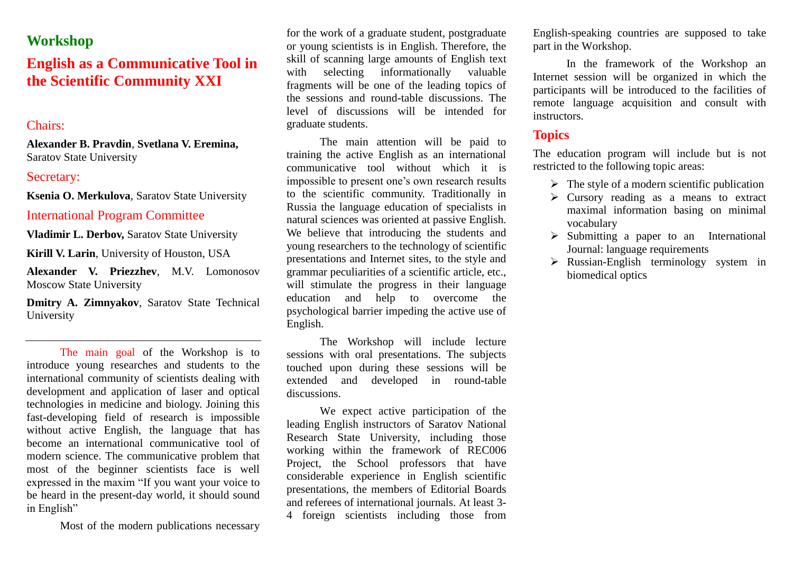## **Workshop**

## **English as a Communicative Tool in the Scientific Community XXI**

## Chairs:

**Alexander B. Pravdin**, **Svetlana V. Eremina,**  Saratov State University

#### Secretary:

**Ksenia O. Merkulova**, Saratov State University

#### International Program Committee

**Vladimir L. Derbov,** Saratov State University

**Kirill V. Larin**, University of Houston, USA

**Alexander V. Priezzhev**, M.V. Lomonosov Moscow State University

**Dmitry A. Zimnyakov**, Saratov State Technical University

The main goal of the Workshop is to introduce young researches and students to the international community of scientists dealing with development and application of laser and optical technologies in medicine and biology. Joining this fast-developing field of research is impossible without active English, the language that has become an international communicative tool of modern science. The communicative problem that most of the beginner scientists face is well expressed in the maxim "If you want your voice to be heard in the present-day world, it should sound in English"

Most of the modern publications necessary

for the work of a graduate student, postgraduate or young scientists is in English. Therefore, the skill of scanning large amounts of English text with selecting informationally valuable fragments will be one of the leading topics of the sessions and round-table discussions. The level of discussions will be intended for graduate students.

The main attention will be paid to training the active English as an international communicative tool without which it is impossible to present one's own research results to the scientific community. Traditionally in Russia the language education of specialists in natural sciences was oriented at passive English. We believe that introducing the students and young researchers to the technology of scientific presentations and Internet sites, to the style and grammar peculiarities of a scientific article, etc., will stimulate the progress in their language education and help to overcome the psychological barrier impeding the active use of English.

The Workshop will include lecture sessions with oral presentations. The subjects touched upon during these sessions will be extended and developed in round-table discussions.

We expect active participation of the leading English instructors of Saratov National Research State University, including those working within the framework of REC006 Project, the School professors that have considerable experience in English scientific presentations, the members of Editorial Boards and referees of international journals. At least 3- 4 foreign scientists including those from

English-speaking countries are supposed to take part in the Workshop.

In the framework of the Workshop an Internet session will be organized in which the participants will be introduced to the facilities of remote language acquisition and consult with instructors.

## **Topics**

The education program will include but is not restricted to the following topic areas:

- $\triangleright$  The style of a modern scientific publication
- $\triangleright$  Cursory reading as a means to extract maximal information basing on minimal vocabulary
- $\triangleright$  Submitting a paper to an International Journal: language requirements
- $\triangleright$  Russian-English terminology system in biomedical optics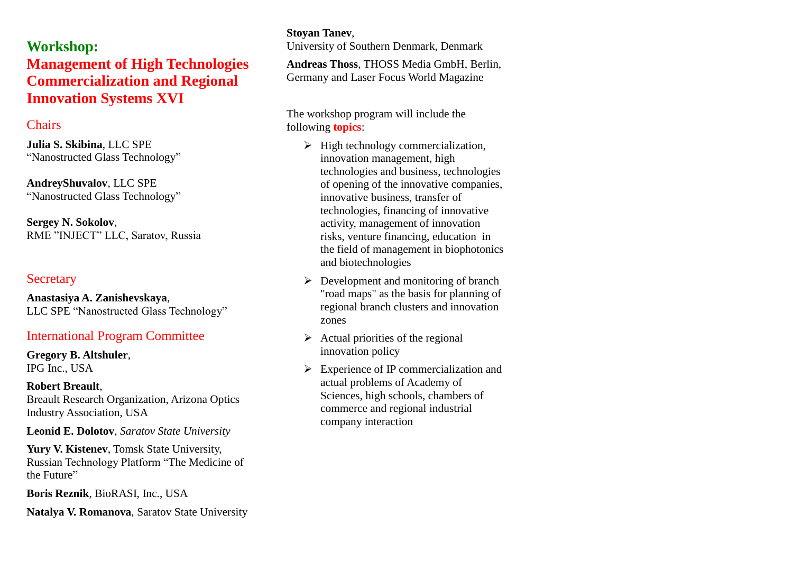**Workshop: Management of High Technologies Commercialization and Regional Innovation Systems XVI**

## **Chairs**

**Julia S. Skibina**, LLC SPE "Nanostructed Glass Technology"

**AndreyShuvalov**, LLC SPE "Nanostructed Glass Technology"

**Sergey N. Sokolov**, RME "INJECT" LLC, Saratov, Russia

#### **Secretary**

**Anastasiya A. Zanishevskaya**, LLC SPE "Nanostructed Glass Technology"

## International Program Committee

**Gregory B. Altshuler**, IPG Inc., USA

#### **Robert Breault**,

Breault Research Organization, Arizona Optics Industry Association, USA

**Leonid E. Dolotov**, *Saratov State University*

**Yury V. Kistenev**, Tomsk State University, Russian Technology Platform "The Medicine of the Future"

**Boris Reznik**, BioRASI, Inc., USA

**Natalya V. Romanova**, Saratov State University

## **Stoyan Tanev**,

University of Southern Denmark, Denmark

**Andreas Thoss**, THOSS Media GmbH, Berlin, Germany and Laser Focus World Magazine

The workshop program will include the following **topics**:

- $\triangleright$  High technology commercialization. innovation management, high technologies and business, technologies of opening of the innovative companies, innovative business, transfer of technologies, financing of innovative activity, management of innovation risks, venture financing, education in the field of management in biophotonics and biotechnologies
- $\triangleright$  Development and monitoring of branch "road maps" as the basis for planning of regional branch clusters and innovation zones
- $\triangleright$  Actual priorities of the regional innovation policy
- $\triangleright$  Experience of IP commercialization and actual problems of Academy of Sciences, high schools, chambers of commerce and regional industrial company interaction